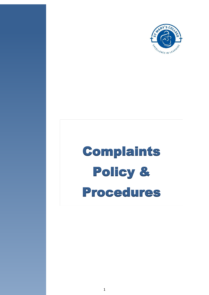

# Complaints Policy & Procedures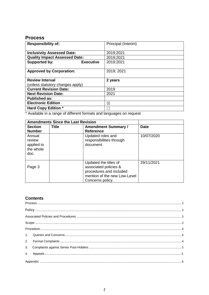## <span id="page-1-0"></span>**Process**

| <b>Responsibility of:</b>                | Principal (Interim) |
|------------------------------------------|---------------------|
|                                          |                     |
| <b>Inclusivity Assessed Date:</b>        | 2019;2021           |
| <b>Quality Impact Assessed Date:</b>     | 2019;2021           |
| <b>Supported by:</b><br><b>Executive</b> | 2019;2021           |
|                                          |                     |
| <b>Approved by Corporation:</b>          | 2019; 2021          |
|                                          |                     |
| <b>Review Interval</b>                   | 2 years             |
| (unless statutory changes apply)         |                     |
| <b>Current Revision Date:</b>            | 2019                |
| <b>Next Revision Date:</b>               | 2021                |
| <b>Published as:</b>                     |                     |
| <b>Electronic Edition</b>                | ⊠                   |
| <b>Hard Copy Edition *</b>               |                     |
|                                          |                     |

\* Available in a range of different formats and languages on request

| <b>Amendments Since the Last Revision</b>           |              |                                                                                                                               |             |
|-----------------------------------------------------|--------------|-------------------------------------------------------------------------------------------------------------------------------|-------------|
| <b>Section</b>                                      | <b>Title</b> | <b>Amendment Summary /</b>                                                                                                    | <b>Date</b> |
| <b>Number</b>                                       |              | <b>Reference</b>                                                                                                              |             |
| Annual<br>review<br>applied to<br>the whole<br>doc. |              | Updated roles and<br>responsibilities through<br>document.                                                                    | 10/07/2020  |
| Page 3                                              |              | Updated the titles of<br>associated policies &<br>procedures and included<br>mention of the new Low-Level<br>Concerns policy. | 29/11/2021  |

### **Contents**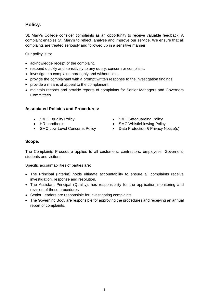## <span id="page-2-0"></span>**Policy:**

St. Mary's College consider complaints as an opportunity to receive valuable feedback. A complaint enables St. Mary's to reflect, analyse and improve our service. We ensure that all complaints are treated seriously and followed up in a sensitive manner.

Our policy is to:

- acknowledge receipt of the complaint.
- respond quickly and sensitively to any query, concern or complaint.
- investigate a complaint thoroughly and without bias.
- provide the complainant with a prompt written response to the investigation findings.
- provide a means of appeal to the complainant.
- maintain records and provide reports of complaints for Senior Managers and Governors Committees.

#### <span id="page-2-1"></span>**Associated Policies and Procedures:**

- 
- HR handbook
- SMC Low-Level Concerns Policy
- SMC Equality Policy **SMC SAFEGUARD SMC Safeguarding Policy** 
	- SMC Whistleblowing Policy
	- Data Protection & Privacy Notice(s)

#### <span id="page-2-2"></span>**Scope:**

The Complaints Procedure applies to all customers, contractors, employees, Governors, students and visitors.

Specific accountabilities of parties are:

- The Principal (Interim) holds ultimate accountability to ensure all complaints receive investigation, response and resolution.
- The Assistant Principal (Quality): has responsibility for the application monitoring and revision of these procedures
- Senior Leaders are responsible for investigating complaints.
- The Governing Body are responsible for approving the procedures and receiving an annual report of complaints.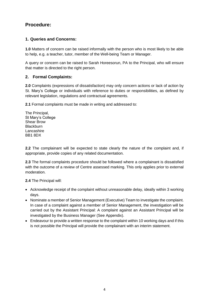## <span id="page-3-1"></span><span id="page-3-0"></span>**Procedure:**

#### **1. Queries and Concerns:**

**1.0** Matters of concern can be raised informally with the person who is most likely to be able to help, e.g. a teacher, tutor, member of the Well-being Team or Manager.

A query or concern can be raised to Sarah Horeesorun, PA to the Principal, who will ensure that matter is directed to the right person.

#### <span id="page-3-2"></span>**2. Formal Complaints:**

**2.0** Complaints (expressions of dissatisfaction) may only concern actions or lack of action by St. Mary's College or individuals with reference to duties or responsibilities, as defined by relevant legislation, regulations and contractual agreements.

**2.1** Formal complaints must be made in writing and addressed to:

The Principal, St Mary's College Shear Brow **Blackburn** Lancashire BB1 8DX

**2.2** The complainant will be expected to state clearly the nature of the complaint and, if appropriate, provide copies of any related documentation.

**2.3** The formal complaints procedure should be followed where a complainant is dissatisfied with the outcome of a review of Centre assessed marking. This only applies prior to external moderation.

**2.4** The Principal will:

- Acknowledge receipt of the complaint without unreasonable delay, ideally within 3 working days.
- Nominate a member of Senior Management (Executive) Team to investigate the complaint. In case of a complaint against a member of Senior Management, the investigation will be carried out by the Assistant Principal: A complaint against an Assistant Principal will be investigated by the Business Manager (See Appendix).
- Endeavour to provide a written response to the complaint within 10 working days and if this is not possible the Principal will provide the complainant with an interim statement.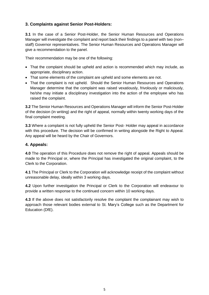#### <span id="page-4-0"></span>**3. Complaints against Senior Post-Holders:**

**3.1** In the case of a Senior Post-Holder, the Senior Human Resources and Operations Manager will investigate the complaint and report back their findings to a panel with two (non– staff) Governor representatives. The Senior Human Resources and Operations Manager will give a recommendation to the panel.

Their recommendation may be one of the following:

- That the complaint should be upheld and action is recommended which may include, as appropriate, disciplinary action.
- That some elements of the complaint are upheld and some elements are not.
- That the complaint is not upheld. Should the Senior Human Resources and Operations Manager determine that the complaint was raised vexatiously, frivolously or maliciously, he/she may initiate a disciplinary investigation into the action of the employee who has raised the complaint.

**3.2** The Senior Human Resources and Operations Manager will inform the Senior Post-Holder of the decision (in writing) and the right of appeal, normally within twenty working days of the final complaint meeting.

**3.3** Where a complaint is not fully upheld the Senior Post- Holder may appeal in accordance with this procedure. The decision will be confirmed in writing alongside the Right to Appeal. Any appeal will be heard by the Chair of Governors.

#### **4. Appeals:**

**4.0** The operation of this Procedure does not remove the right of appeal. Appeals should be made to the Principal or, where the Principal has investigated the original complaint, to the Clerk to the Corporation.

**4.1** The Principal or Clerk to the Corporation will acknowledge receipt of the complaint without unreasonable delay, ideally within 3 working days.

**4.2** Upon further investigation the Principal or Clerk to the Corporation will endeavour to provide a written response to the continued concern within 10 working days.

**4.3** If the above does not satisfactorily resolve the complaint the complainant may wish to approach those relevant bodies external to St. Mary's College such as the Department for Education (DfE).